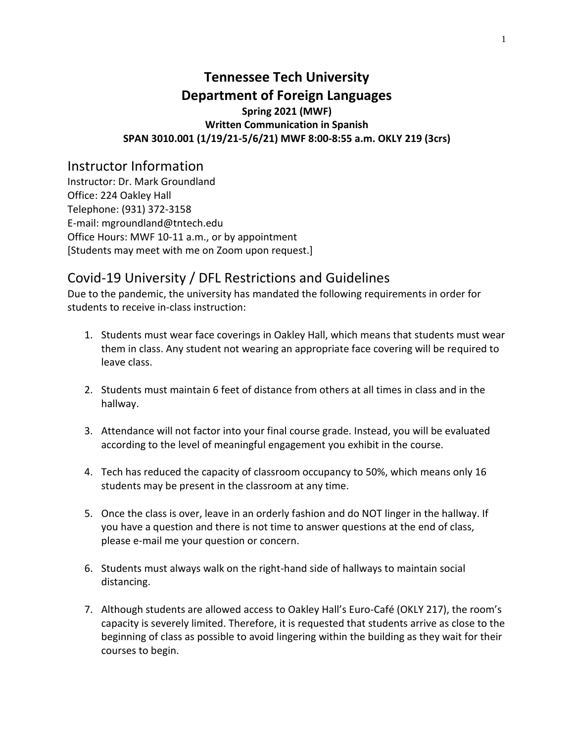# **Tennessee Tech University Department of Foreign Languages Spring 2021 (MWF) Written Communication in Spanish SPAN 3010.001 (1/19/21-5/6/21) MWF 8:00-8:55 a.m. OKLY 219 (3crs)**

# Instructor Information

Instructor: Dr. Mark Groundland Office: 224 Oakley Hall Telephone: (931) 372-3158 E-mail: mgroundland@tntech.edu Office Hours: MWF 10-11 a.m., or by appointment [Students may meet with me on Zoom upon request.]

# Covid-19 University / DFL Restrictions and Guidelines

Due to the pandemic, the university has mandated the following requirements in order for students to receive in-class instruction:

- 1. Students must wear face coverings in Oakley Hall, which means that students must wear them in class. Any student not wearing an appropriate face covering will be required to leave class.
- 2. Students must maintain 6 feet of distance from others at all times in class and in the hallway.
- 3. Attendance will not factor into your final course grade. Instead, you will be evaluated according to the level of meaningful engagement you exhibit in the course.
- 4. Tech has reduced the capacity of classroom occupancy to 50%, which means only 16 students may be present in the classroom at any time.
- 5. Once the class is over, leave in an orderly fashion and do NOT linger in the hallway. If you have a question and there is not time to answer questions at the end of class, please e-mail me your question or concern.
- 6. Students must always walk on the right-hand side of hallways to maintain social distancing.
- 7. Although students are allowed access to Oakley Hall's Euro-Café (OKLY 217), the room's capacity is severely limited. Therefore, it is requested that students arrive as close to the beginning of class as possible to avoid lingering within the building as they wait for their courses to begin.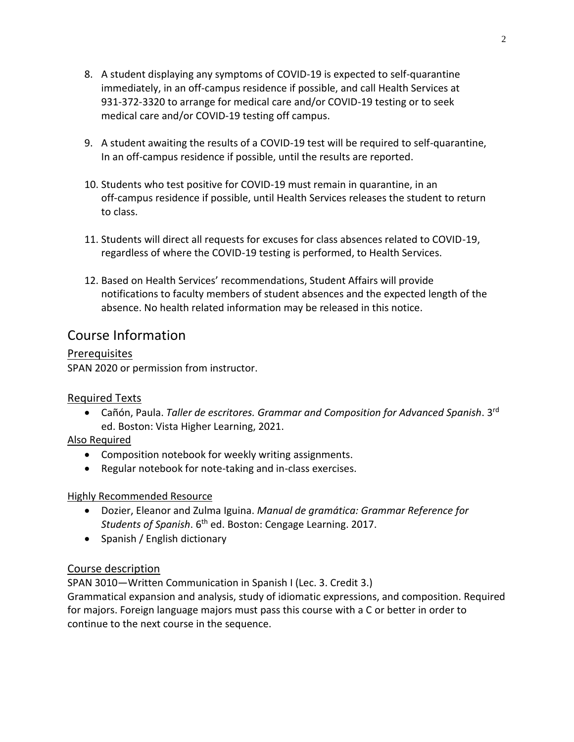- 8. A student displaying any symptoms of COVID-19 is expected to self-quarantine immediately, in an off-campus residence if possible, and call Health Services at 931-372-3320 to arrange for medical care and/or COVID-19 testing or to seek medical care and/or COVID-19 testing off campus.
- 9. A student awaiting the results of a COVID-19 test will be required to self-quarantine, In an off-campus residence if possible, until the results are reported.
- 10. Students who test positive for COVID-19 must remain in quarantine, in an off-campus residence if possible, until Health Services releases the student to return to class.
- 11. Students will direct all requests for excuses for class absences related to COVID-19, regardless of where the COVID-19 testing is performed, to Health Services.
- 12. Based on Health Services' recommendations, Student Affairs will provide notifications to faculty members of student absences and the expected length of the absence. No health related information may be released in this notice.

# Course Information

Prerequisites SPAN 2020 or permission from instructor.

# Required Texts

**•** Cañón, Paula. Taller de escritores. Grammar and Composition for Advanced Spanish. 3<sup>rd</sup> ed. Boston: Vista Higher Learning, 2021.

# Also Required

- Composition notebook for weekly writing assignments.
- Regular notebook for note-taking and in-class exercises.

### Highly Recommended Resource

- Dozier, Eleanor and Zulma Iguina. *Manual de gramática: Grammar Reference for Students of Spanish*. 6th ed. Boston: Cengage Learning. 2017.
- Spanish / English dictionary

# Course description

SPAN 3010—Written Communication in Spanish I (Lec. 3. Credit 3.) Grammatical expansion and analysis, study of idiomatic expressions, and composition. Required for majors. Foreign language majors must pass this course with a C or better in order to continue to the next course in the sequence.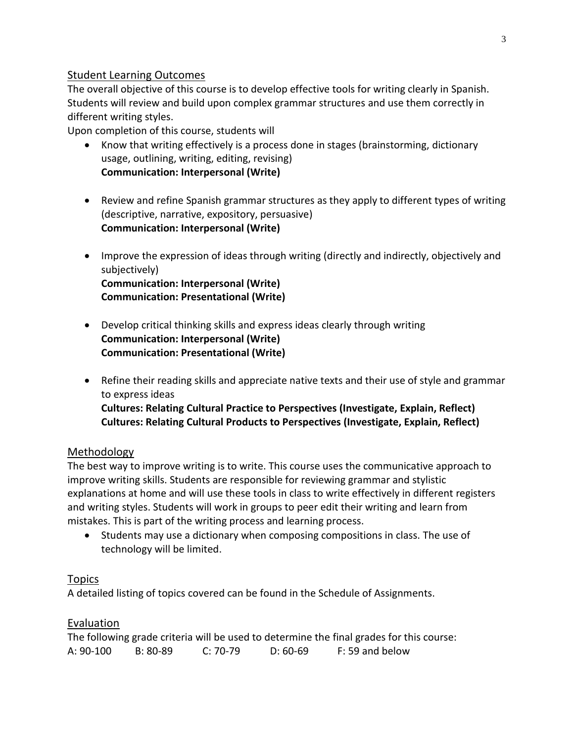### Student Learning Outcomes

The overall objective of this course is to develop effective tools for writing clearly in Spanish. Students will review and build upon complex grammar structures and use them correctly in different writing styles.

Upon completion of this course, students will

- Know that writing effectively is a process done in stages (brainstorming, dictionary usage, outlining, writing, editing, revising) **Communication: Interpersonal (Write)**
- Review and refine Spanish grammar structures as they apply to different types of writing (descriptive, narrative, expository, persuasive) **Communication: Interpersonal (Write)**
- Improve the expression of ideas through writing (directly and indirectly, objectively and subjectively) **Communication: Interpersonal (Write) Communication: Presentational (Write)**
- Develop critical thinking skills and express ideas clearly through writing **Communication: Interpersonal (Write) Communication: Presentational (Write)**
- Refine their reading skills and appreciate native texts and their use of style and grammar to express ideas **Cultures: Relating Cultural Practice to Perspectives (Investigate, Explain, Reflect) Cultures: Relating Cultural Products to Perspectives (Investigate, Explain, Reflect)**

# Methodology

The best way to improve writing is to write. This course uses the communicative approach to improve writing skills. Students are responsible for reviewing grammar and stylistic explanations at home and will use these tools in class to write effectively in different registers and writing styles. Students will work in groups to peer edit their writing and learn from mistakes. This is part of the writing process and learning process.

• Students may use a dictionary when composing compositions in class. The use of technology will be limited.

# Topics

A detailed listing of topics covered can be found in the Schedule of Assignments.

# Evaluation

|           |            |          |            | The following grade criteria will be used to determine the final grades for this course: |
|-----------|------------|----------|------------|------------------------------------------------------------------------------------------|
| A: 90-100 | $B: 80-89$ | C: 70-79 | $D: 60-69$ | F: 59 and below                                                                          |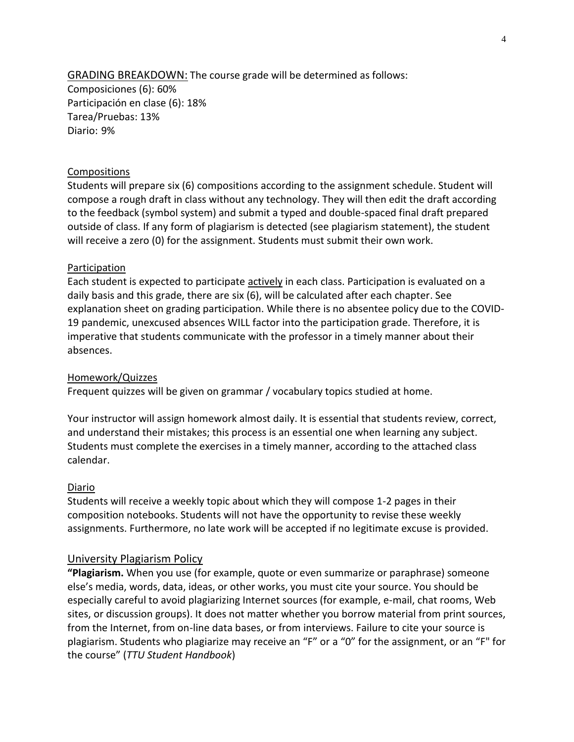GRADING BREAKDOWN: The course grade will be determined as follows: Composiciones (6): 60% Participación en clase (6): 18% Tarea/Pruebas: 13% Diario: 9%

#### Compositions

Students will prepare six (6) compositions according to the assignment schedule. Student will compose a rough draft in class without any technology. They will then edit the draft according to the feedback (symbol system) and submit a typed and double-spaced final draft prepared outside of class. If any form of plagiarism is detected (see plagiarism statement), the student will receive a zero (0) for the assignment. Students must submit their own work.

#### Participation

Each student is expected to participate actively in each class. Participation is evaluated on a daily basis and this grade, there are six (6), will be calculated after each chapter. See explanation sheet on grading participation. While there is no absentee policy due to the COVID-19 pandemic, unexcused absences WILL factor into the participation grade. Therefore, it is imperative that students communicate with the professor in a timely manner about their absences.

#### Homework/Quizzes

Frequent quizzes will be given on grammar / vocabulary topics studied at home.

Your instructor will assign homework almost daily. It is essential that students review, correct, and understand their mistakes; this process is an essential one when learning any subject. Students must complete the exercises in a timely manner, according to the attached class calendar.

#### Diario

Students will receive a weekly topic about which they will compose 1-2 pages in their composition notebooks. Students will not have the opportunity to revise these weekly assignments. Furthermore, no late work will be accepted if no legitimate excuse is provided.

#### University Plagiarism Policy

**"Plagiarism.** When you use (for example, quote or even summarize or paraphrase) someone else's media, words, data, ideas, or other works, you must cite your source. You should be especially careful to avoid plagiarizing Internet sources (for example, e-mail, chat rooms, Web sites, or discussion groups). It does not matter whether you borrow material from print sources, from the Internet, from on-line data bases, or from interviews. Failure to cite your source is plagiarism. Students who plagiarize may receive an "F" or a "0" for the assignment, or an "F" for the course" (*TTU Student Handbook*)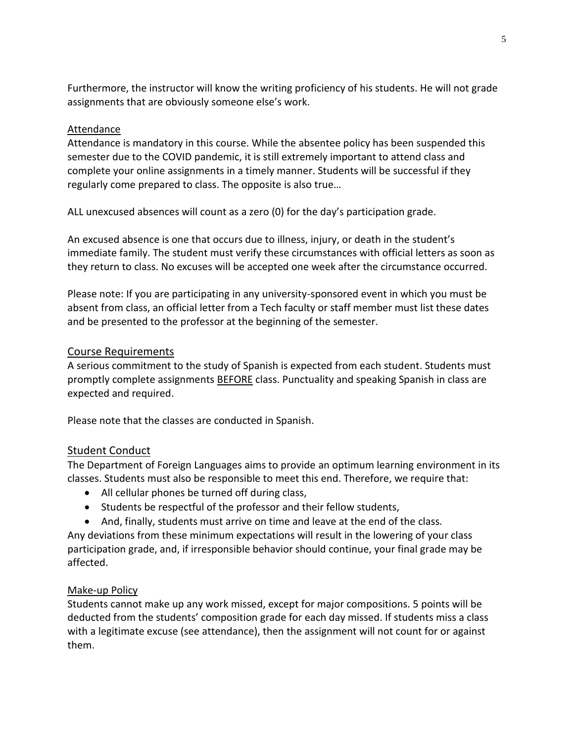Furthermore, the instructor will know the writing proficiency of his students. He will not grade assignments that are obviously someone else's work.

### Attendance

Attendance is mandatory in this course. While the absentee policy has been suspended this semester due to the COVID pandemic, it is still extremely important to attend class and complete your online assignments in a timely manner. Students will be successful if they regularly come prepared to class. The opposite is also true…

ALL unexcused absences will count as a zero (0) for the day's participation grade.

An excused absence is one that occurs due to illness, injury, or death in the student's immediate family. The student must verify these circumstances with official letters as soon as they return to class. No excuses will be accepted one week after the circumstance occurred.

Please note: If you are participating in any university-sponsored event in which you must be absent from class, an official letter from a Tech faculty or staff member must list these dates and be presented to the professor at the beginning of the semester.

### Course Requirements

A serious commitment to the study of Spanish is expected from each student. Students must promptly complete assignments BEFORE class. Punctuality and speaking Spanish in class are expected and required.

Please note that the classes are conducted in Spanish.

### Student Conduct

The Department of Foreign Languages aims to provide an optimum learning environment in its classes. Students must also be responsible to meet this end. Therefore, we require that:

- All cellular phones be turned off during class,
- Students be respectful of the professor and their fellow students,
- And, finally, students must arrive on time and leave at the end of the class.

Any deviations from these minimum expectations will result in the lowering of your class participation grade, and, if irresponsible behavior should continue, your final grade may be affected.

### Make-up Policy

Students cannot make up any work missed, except for major compositions. 5 points will be deducted from the students' composition grade for each day missed. If students miss a class with a legitimate excuse (see attendance), then the assignment will not count for or against them.